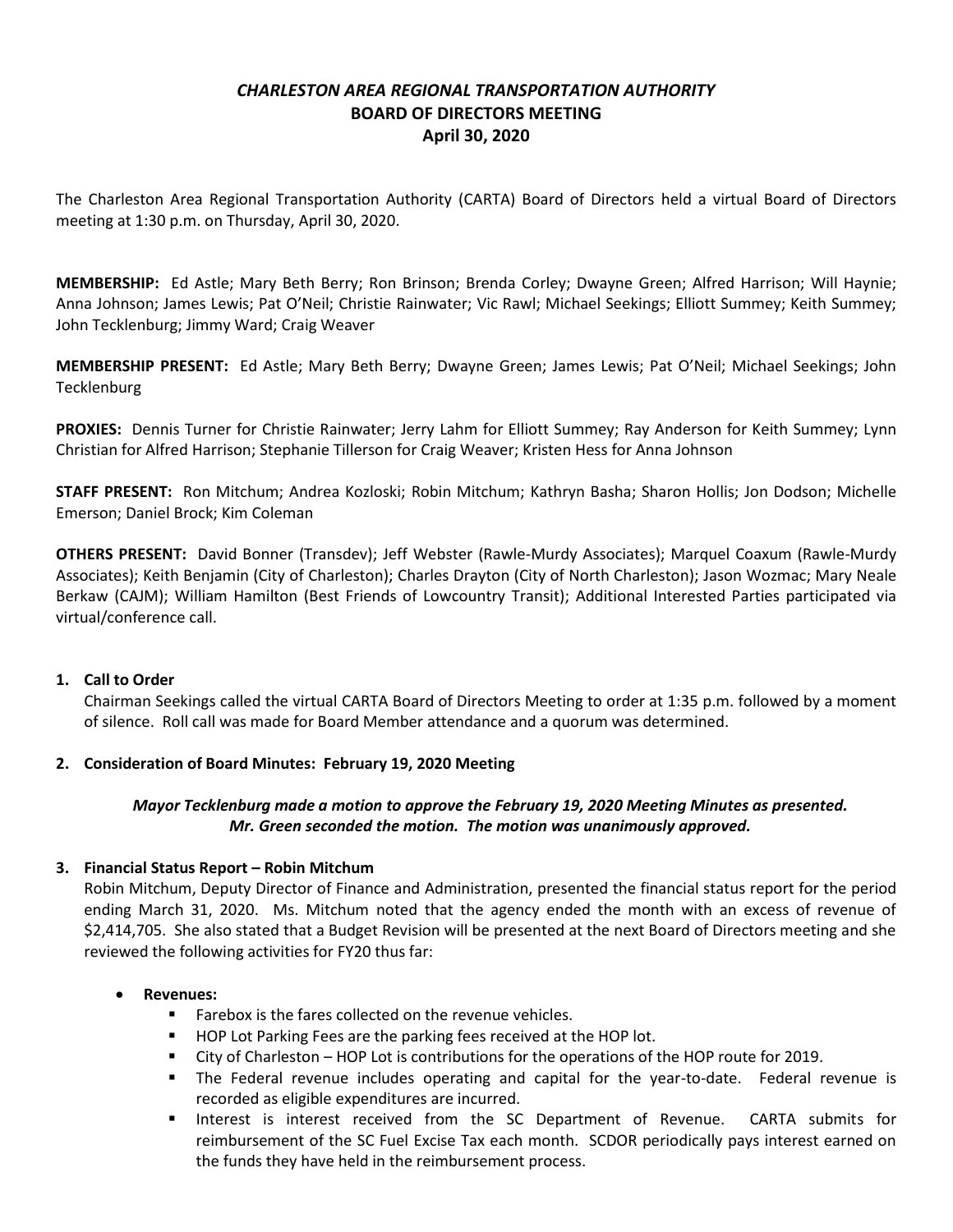# *CHARLESTON AREA REGIONAL TRANSPORTATION AUTHORITY* **BOARD OF DIRECTORS MEETING April 30, 2020**

The Charleston Area Regional Transportation Authority (CARTA) Board of Directors held a virtual Board of Directors meeting at 1:30 p.m. on Thursday, April 30, 2020.

**MEMBERSHIP:** Ed Astle; Mary Beth Berry; Ron Brinson; Brenda Corley; Dwayne Green; Alfred Harrison; Will Haynie; Anna Johnson; James Lewis; Pat O'Neil; Christie Rainwater; Vic Rawl; Michael Seekings; Elliott Summey; Keith Summey; John Tecklenburg; Jimmy Ward; Craig Weaver

**MEMBERSHIP PRESENT:** Ed Astle; Mary Beth Berry; Dwayne Green; James Lewis; Pat O'Neil; Michael Seekings; John **Tecklenburg** 

**PROXIES:** Dennis Turner for Christie Rainwater; Jerry Lahm for Elliott Summey; Ray Anderson for Keith Summey; Lynn Christian for Alfred Harrison; Stephanie Tillerson for Craig Weaver; Kristen Hess for Anna Johnson

**STAFF PRESENT:** Ron Mitchum; Andrea Kozloski; Robin Mitchum; Kathryn Basha; Sharon Hollis; Jon Dodson; Michelle Emerson; Daniel Brock; Kim Coleman

**OTHERS PRESENT:** David Bonner (Transdev); Jeff Webster (Rawle-Murdy Associates); Marquel Coaxum (Rawle-Murdy Associates); Keith Benjamin (City of Charleston); Charles Drayton (City of North Charleston); Jason Wozmac; Mary Neale Berkaw (CAJM); William Hamilton (Best Friends of Lowcountry Transit); Additional Interested Parties participated via virtual/conference call.

#### **1. Call to Order**

Chairman Seekings called the virtual CARTA Board of Directors Meeting to order at 1:35 p.m. followed by a moment of silence. Roll call was made for Board Member attendance and a quorum was determined.

## **2. Consideration of Board Minutes: February 19, 2020 Meeting**

### *Mayor Tecklenburg made a motion to approve the February 19, 2020 Meeting Minutes as presented. Mr. Green seconded the motion. The motion was unanimously approved.*

#### **3. Financial Status Report – Robin Mitchum**

Robin Mitchum, Deputy Director of Finance and Administration, presented the financial status report for the period ending March 31, 2020. Ms. Mitchum noted that the agency ended the month with an excess of revenue of \$2,414,705. She also stated that a Budget Revision will be presented at the next Board of Directors meeting and she reviewed the following activities for FY20 thus far:

#### **Revenues:**

- **Farebox is the fares collected on the revenue vehicles.**
- **HOP Lot Parking Fees are the parking fees received at the HOP lot.**
- City of Charleston HOP Lot is contributions for the operations of the HOP route for 2019.
- **The Federal revenue includes operating and capital for the year-to-date. Federal revenue is** recorded as eligible expenditures are incurred.
- **Interest is interest received from the SC Department of Revenue. CARTA submits for** reimbursement of the SC Fuel Excise Tax each month. SCDOR periodically pays interest earned on the funds they have held in the reimbursement process.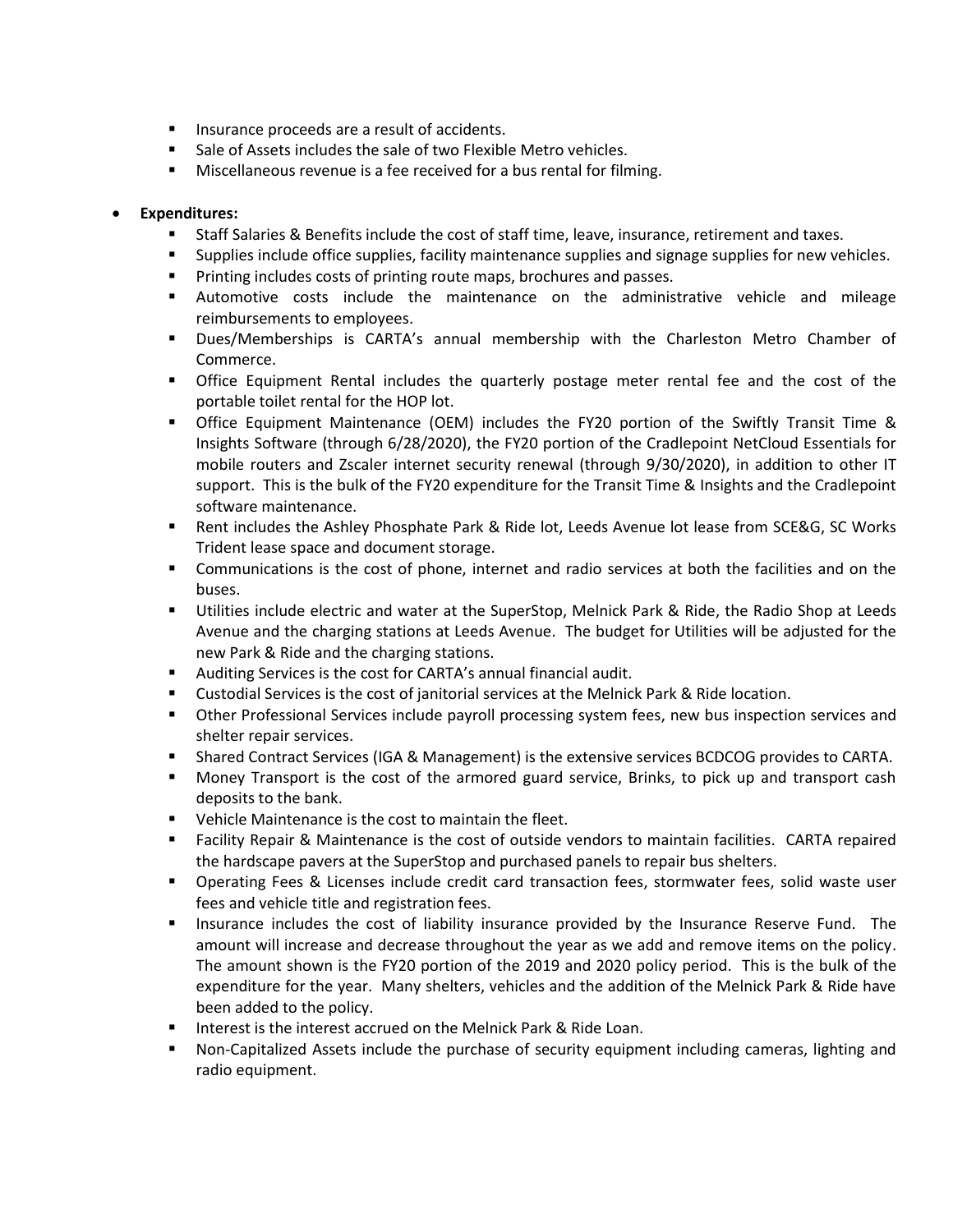- **Insurance proceeds are a result of accidents.**
- Sale of Assets includes the sale of two Flexible Metro vehicles.
- **Miscellaneous revenue is a fee received for a bus rental for filming.**

### **Expenditures:**

- Staff Salaries & Benefits include the cost of staff time, leave, insurance, retirement and taxes.
- **Supplies include office supplies, facility maintenance supplies and signage supplies for new vehicles.**
- **Printing includes costs of printing route maps, brochures and passes.**
- Automotive costs include the maintenance on the administrative vehicle and mileage reimbursements to employees.
- Dues/Memberships is CARTA's annual membership with the Charleston Metro Chamber of Commerce.
- Office Equipment Rental includes the quarterly postage meter rental fee and the cost of the portable toilet rental for the HOP lot.
- Office Equipment Maintenance (OEM) includes the FY20 portion of the Swiftly Transit Time & Insights Software (through 6/28/2020), the FY20 portion of the Cradlepoint NetCloud Essentials for mobile routers and Zscaler internet security renewal (through 9/30/2020), in addition to other IT support. This is the bulk of the FY20 expenditure for the Transit Time & Insights and the Cradlepoint software maintenance.
- Rent includes the Ashley Phosphate Park & Ride lot, Leeds Avenue lot lease from SCE&G, SC Works Trident lease space and document storage.
- Communications is the cost of phone, internet and radio services at both the facilities and on the buses.
- Utilities include electric and water at the SuperStop, Melnick Park & Ride, the Radio Shop at Leeds Avenue and the charging stations at Leeds Avenue. The budget for Utilities will be adjusted for the new Park & Ride and the charging stations.
- Auditing Services is the cost for CARTA's annual financial audit.
- Custodial Services is the cost of janitorial services at the Melnick Park & Ride location.
- Other Professional Services include payroll processing system fees, new bus inspection services and shelter repair services.
- Shared Contract Services (IGA & Management) is the extensive services BCDCOG provides to CARTA.
- Money Transport is the cost of the armored guard service, Brinks, to pick up and transport cash deposits to the bank.
- **•** Vehicle Maintenance is the cost to maintain the fleet.
- Facility Repair & Maintenance is the cost of outside vendors to maintain facilities. CARTA repaired the hardscape pavers at the SuperStop and purchased panels to repair bus shelters.
- Operating Fees & Licenses include credit card transaction fees, stormwater fees, solid waste user fees and vehicle title and registration fees.
- **Insurance includes the cost of liability insurance provided by the Insurance Reserve Fund.** The amount will increase and decrease throughout the year as we add and remove items on the policy. The amount shown is the FY20 portion of the 2019 and 2020 policy period. This is the bulk of the expenditure for the year. Many shelters, vehicles and the addition of the Melnick Park & Ride have been added to the policy.
- **IF Interest is the interest accrued on the Melnick Park & Ride Loan.**
- Non-Capitalized Assets include the purchase of security equipment including cameras, lighting and radio equipment.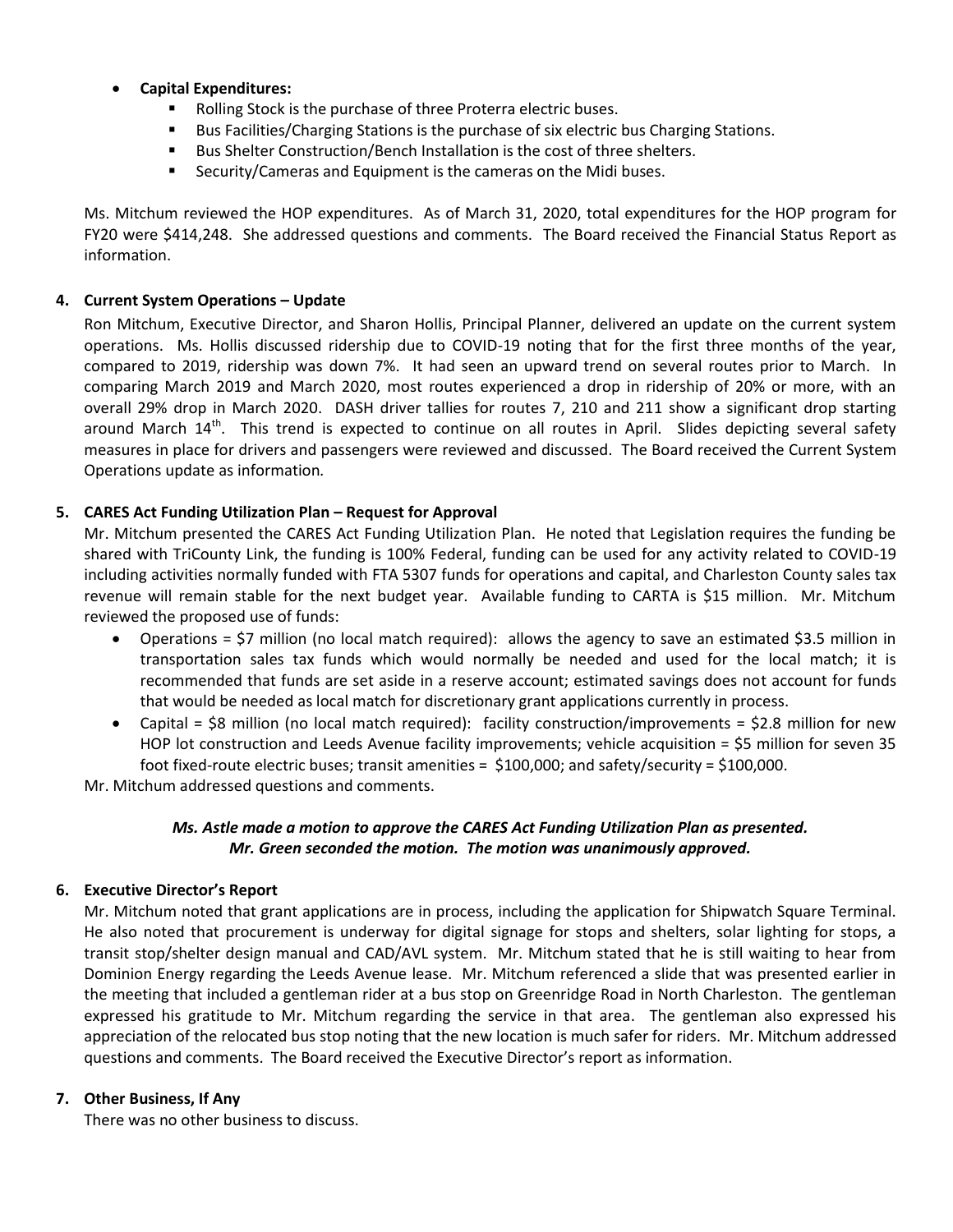- **Capital Expenditures:**
	- **Rolling Stock is the purchase of three Proterra electric buses.**
	- Bus Facilities/Charging Stations is the purchase of six electric bus Charging Stations.
	- Bus Shelter Construction/Bench Installation is the cost of three shelters.
	- **Security/Cameras and Equipment is the cameras on the Midi buses.**

Ms. Mitchum reviewed the HOP expenditures. As of March 31, 2020, total expenditures for the HOP program for FY20 were \$414,248. She addressed questions and comments. The Board received the Financial Status Report as information.

#### **4. Current System Operations – Update**

Ron Mitchum, Executive Director, and Sharon Hollis, Principal Planner, delivered an update on the current system operations. Ms. Hollis discussed ridership due to COVID-19 noting that for the first three months of the year, compared to 2019, ridership was down 7%. It had seen an upward trend on several routes prior to March. In comparing March 2019 and March 2020, most routes experienced a drop in ridership of 20% or more, with an overall 29% drop in March 2020. DASH driver tallies for routes 7, 210 and 211 show a significant drop starting around March 14<sup>th</sup>. This trend is expected to continue on all routes in April. Slides depicting several safety measures in place for drivers and passengers were reviewed and discussed. The Board received the Current System Operations update as information*.*

#### **5. CARES Act Funding Utilization Plan – Request for Approval**

Mr. Mitchum presented the CARES Act Funding Utilization Plan. He noted that Legislation requires the funding be shared with TriCounty Link, the funding is 100% Federal, funding can be used for any activity related to COVID-19 including activities normally funded with FTA 5307 funds for operations and capital, and Charleston County sales tax revenue will remain stable for the next budget year. Available funding to CARTA is \$15 million. Mr. Mitchum reviewed the proposed use of funds:

- Operations = \$7 million (no local match required): allows the agency to save an estimated \$3.5 million in transportation sales tax funds which would normally be needed and used for the local match; it is recommended that funds are set aside in a reserve account; estimated savings does not account for funds that would be needed as local match for discretionary grant applications currently in process.
- Capital =  $$8$  million (no local match required): facility construction/improvements =  $$2.8$  million for new HOP lot construction and Leeds Avenue facility improvements; vehicle acquisition = \$5 million for seven 35 foot fixed-route electric buses; transit amenities = \$100,000; and safety/security = \$100,000.

Mr. Mitchum addressed questions and comments.

## *Ms. Astle made a motion to approve the CARES Act Funding Utilization Plan as presented. Mr. Green seconded the motion. The motion was unanimously approved.*

#### **6. Executive Director's Report**

Mr. Mitchum noted that grant applications are in process, including the application for Shipwatch Square Terminal. He also noted that procurement is underway for digital signage for stops and shelters, solar lighting for stops, a transit stop/shelter design manual and CAD/AVL system. Mr. Mitchum stated that he is still waiting to hear from Dominion Energy regarding the Leeds Avenue lease. Mr. Mitchum referenced a slide that was presented earlier in the meeting that included a gentleman rider at a bus stop on Greenridge Road in North Charleston. The gentleman expressed his gratitude to Mr. Mitchum regarding the service in that area. The gentleman also expressed his appreciation of the relocated bus stop noting that the new location is much safer for riders. Mr. Mitchum addressed questions and comments. The Board received the Executive Director's report as information.

#### **7. Other Business, If Any**

There was no other business to discuss.